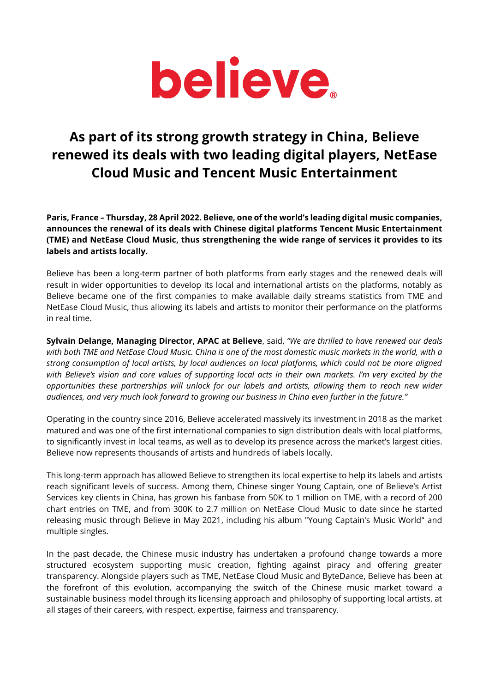

## **As part of its strong growth strategy in China, Believe renewed its deals with two leading digital players, NetEase Cloud Music and Tencent Music Entertainment**

**Paris, France – Thursday, 28 April 2022. Believe, one of the world's leading digital music companies, announces the renewal of its deals with Chinese digital platforms Tencent Music Entertainment (TME) and NetEase Cloud Music, thus strengthening the wide range of services it provides to its labels and artists locally.** 

Believe has been a long-term partner of both platforms from early stages and the renewed deals will result in wider opportunities to develop its local and international artists on the platforms, notably as Believe became one of the first companies to make available daily streams statistics from TME and NetEase Cloud Music, thus allowing its labels and artists to monitor their performance on the platforms in real time.

**Sylvain Delange, Managing Director, APAC at Believe**, said, *"We are thrilled to have renewed our deals with both TME and NetEase Cloud Music. China is one of the most domestic music markets in the world, with a strong consumption of local artists, by local audiences on local platforms, which could not be more aligned with Believe's vision and core values of supporting local acts in their own markets. I'm very excited by the opportunities these partnerships will unlock for our labels and artists, allowing them to reach new wider audiences, and very much look forward to growing our business in China even further in the future."*

Operating in the country since 2016, Believe accelerated massively its investment in 2018 as the market matured and was one of the first international companies to sign distribution deals with local platforms, to significantly invest in local teams, as well as to develop its presence across the market's largest cities. Believe now represents thousands of artists and hundreds of labels locally.

This long-term approach has allowed Believe to strengthen its local expertise to help its labels and artists reach significant levels of success. Among them, Chinese singer Young Captain, one of Believe's Artist Services key clients in China, has grown his fanbase from 50K to 1 million on TME, with a record of 200 chart entries on TME, and from 300K to 2.7 million on NetEase Cloud Music to date since he started releasing music through Believe in May 2021, including his album "Young Captain's Music World" and multiple singles.

In the past decade, the Chinese music industry has undertaken a profound change towards a more structured ecosystem supporting music creation, fighting against piracy and offering greater transparency. Alongside players such as TME, NetEase Cloud Music and ByteDance, Believe has been at the forefront of this evolution, accompanying the switch of the Chinese music market toward a sustainable business model through its licensing approach and philosophy of supporting local artists, at all stages of their careers, with respect, expertise, fairness and transparency.